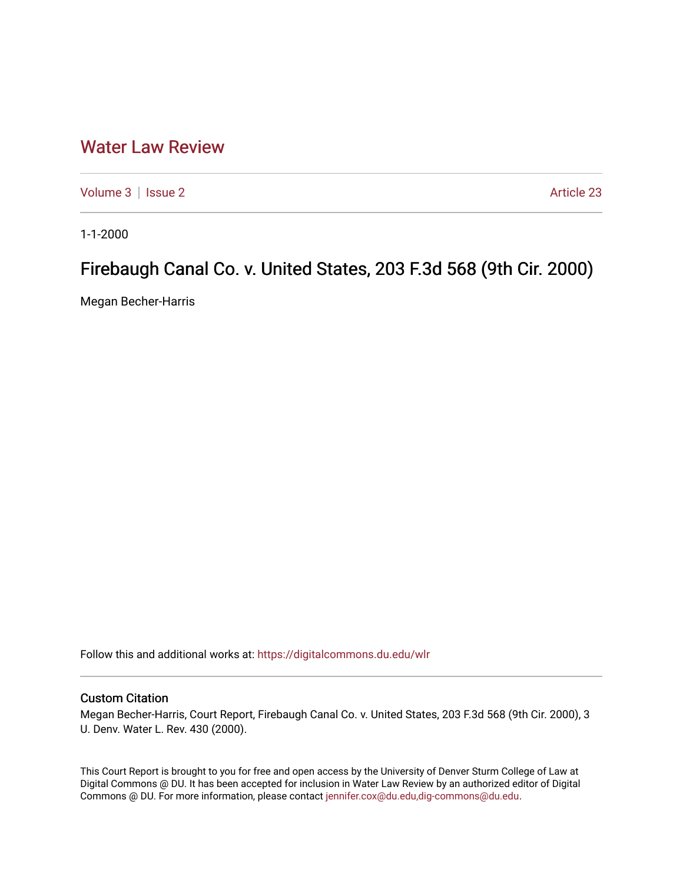## [Water Law Review](https://digitalcommons.du.edu/wlr)

[Volume 3](https://digitalcommons.du.edu/wlr/vol3) | [Issue 2](https://digitalcommons.du.edu/wlr/vol3/iss2) Article 23

1-1-2000

## Firebaugh Canal Co. v. United States, 203 F.3d 568 (9th Cir. 2000)

Megan Becher-Harris

Follow this and additional works at: [https://digitalcommons.du.edu/wlr](https://digitalcommons.du.edu/wlr?utm_source=digitalcommons.du.edu%2Fwlr%2Fvol3%2Fiss2%2F23&utm_medium=PDF&utm_campaign=PDFCoverPages) 

## Custom Citation

Megan Becher-Harris, Court Report, Firebaugh Canal Co. v. United States, 203 F.3d 568 (9th Cir. 2000), 3 U. Denv. Water L. Rev. 430 (2000).

This Court Report is brought to you for free and open access by the University of Denver Sturm College of Law at Digital Commons @ DU. It has been accepted for inclusion in Water Law Review by an authorized editor of Digital Commons @ DU. For more information, please contact [jennifer.cox@du.edu,dig-commons@du.edu.](mailto:jennifer.cox@du.edu,dig-commons@du.edu)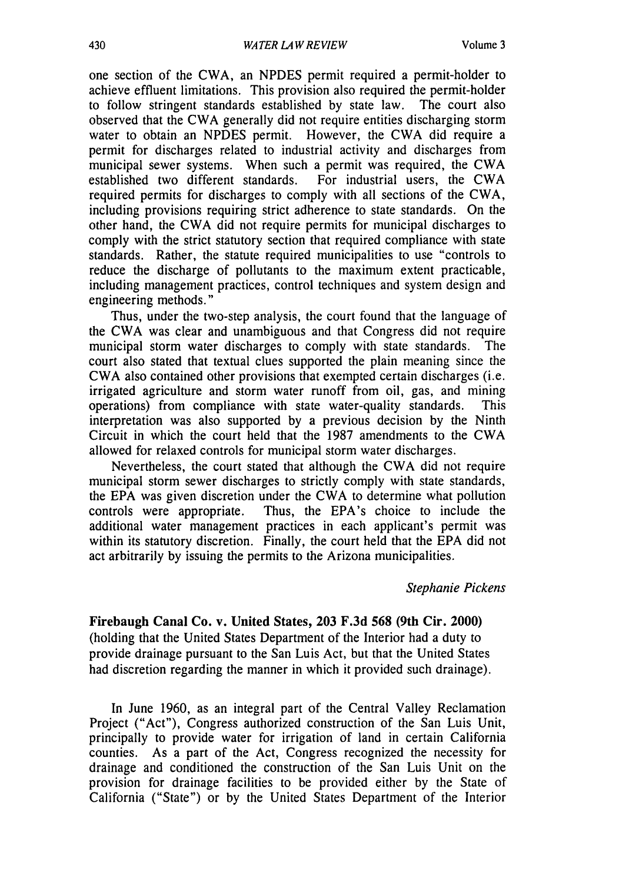one section of the CWA, an NPDES permit required a permit-holder to achieve effluent limitations. This provision also required the permit-holder to follow stringent standards established by state law. The court also observed that the CWA generally did not require entities discharging storm water to obtain an NPDES permit. However, the CWA did require a permit for discharges related to industrial activity and discharges from municipal sewer systems. When such a permit was required, the CWA established two different standards. For industrial users, the CWA required permits for discharges to comply with all sections of the CWA, including provisions requiring strict adherence to state standards. On the other hand, the CWA did not require permits for municipal discharges to comply with the strict statutory section that required compliance with state standards. Rather, the statute required municipalities to use "controls to reduce the discharge of pollutants to the maximum extent practicable, including management practices, control techniques and system design and engineering methods."

Thus, under the two-step analysis, the court found that the language of the CWA was clear and unambiguous and that Congress did not require municipal storm water discharges to comply with state standards. The court also stated that textual clues supported the plain meaning since the CWA also contained other provisions that exempted certain discharges (i.e. irrigated agriculture and storm water runoff from oil, gas, and mining operations) from compliance with state water-quality standards. This interpretation was also supported by a previous decision by the Ninth Circuit in which the court held that the 1987 amendments to the CWA allowed for relaxed controls for municipal storm water discharges.

Nevertheless, the court stated that although the CWA did not require municipal storm sewer discharges to strictly comply with state standards, the EPA was given discretion under the CWA to determine what pollution controls were appropriate. Thus, the EPA's choice to include the additional water management practices in each applicant's permit was within its statutory discretion. Finally, the court held that the EPA did not act arbitrarily by issuing the permits to the Arizona municipalities.

*Stephanie Pickens*

Firebaugh Canal **Co.** v. United States, **203 F.3d 568** (9th Cir. 2000) (holding that the United States Department of the Interior had a duty to provide drainage pursuant to the San Luis Act, but that the United States had discretion regarding the manner in which it provided such drainage).

In June 1960, as an integral part of the Central Valley Reclamation Project ("Act"), Congress authorized construction of the San Luis Unit, principally to provide water for irrigation of land in certain California counties. As a part of the Act, Congress recognized the necessity for drainage and conditioned the construction of the San Luis Unit on the provision for drainage facilities to be provided either by the State of California ("State") or by the United States Department of the Interior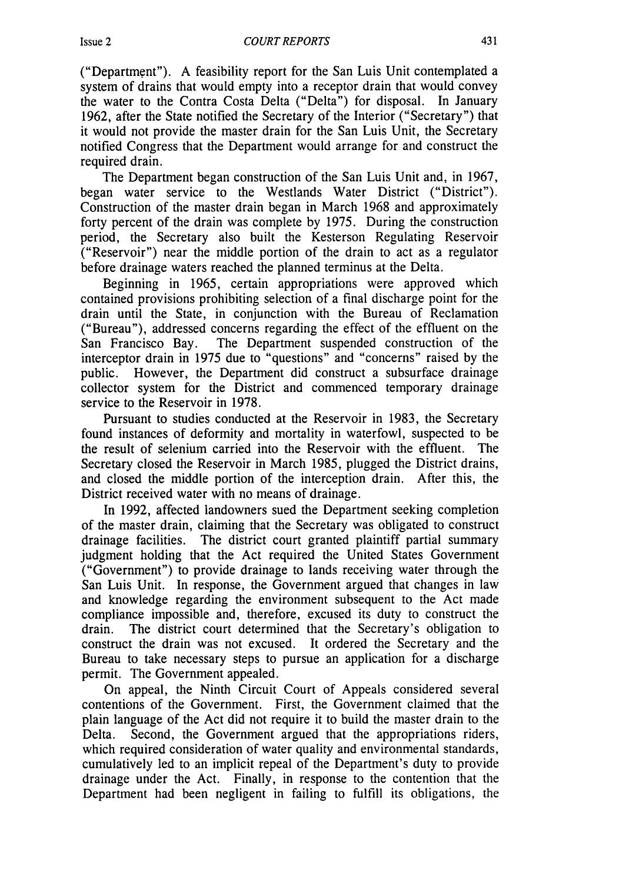("Department"). A feasibility report for the San Luis Unit contemplated a system of drains that would empty into a receptor drain that would convey the water to the Contra Costa Delta ("Delta") for disposal. In January 1962, after the State notified the Secretary of the Interior ("Secretary") that it would not provide the master drain for the San Luis Unit, the Secretary notified Congress that the Department would arrange for and construct the required drain.

The Department began construction of the San Luis Unit and, in 1967, began water service to the Westlands Water District ("District"). Construction of the master drain began in March 1968 and approximately forty percent of the drain was complete by 1975. During the construction period, the Secretary also built the Kesterson Regulating Reservoir ("Reservoir") near the middle portion of the drain to act as a regulator before drainage waters reached the planned terminus at the Delta.

Beginning in 1965, certain appropriations were approved which contained provisions prohibiting selection of a final discharge point for the drain until the State, in conjunction with the Bureau of Reclamation ("Bureau"), addressed concerns regarding the effect of the effluent on the San Francisco Bay. The Department suspended construction of the interceptor drain in 1975 due to "questions" and "concerns" raised by the public. However, the Department did construct a subsurface drainage collector system for the District and commenced temporary drainage service to the Reservoir in 1978.

Pursuant to studies conducted at the Reservoir in 1983, the Secretary found instances of deformity and mortality in waterfowl, suspected to be the result of selenium carried into the Reservoir with the effluent. The Secretary closed the Reservoir in March 1985, plugged the District drains, and closed the middle portion of the interception drain. After this, the District received water with no means of drainage.

In 1992, affected landowners sued the Department seeking completion of the master drain, claiming that the Secretary was obligated to construct drainage facilities. The district court granted plaintiff partial summary judgment holding that the Act required the United States Government ("Government") to provide drainage to lands receiving water through the San Luis Unit. In response, the Government argued that changes in law and knowledge regarding the environment subsequent to the Act made compliance impossible and, therefore, excused its duty to construct the drain. The district court determined that the Secretary's obligation to construct the drain was not excused. It ordered the Secretary and the Bureau to take necessary steps to pursue an application for a discharge permit. The Government appealed.

On appeal, the Ninth Circuit Court of Appeals considered several contentions of the Government. First, the Government claimed that the plain language of the Act did not require it to build the master drain to the Delta. Second, the Government argued that the appropriations riders, which required consideration of water quality and environmental standards, cumulatively led to an implicit repeal of the Department's duty to provide drainage under the Act. Finally, in response to the contention that the Department had been negligent in failing to fulfill its obligations, the